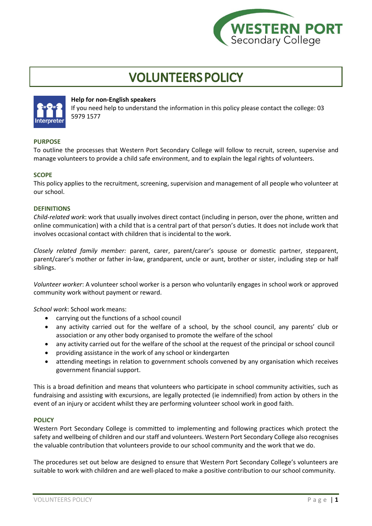

# **VOLUNTEERS POLICY**



# **Help for non-English speakers**

If you need help to understand the information in this policy please contact the college: 03 5979 1577

## **PURPOSE**

To outline the processes that Western Port Secondary College will follow to recruit, screen, supervise and manage volunteers to provide a child safe environment, and to explain the legal rights of volunteers.

## **SCOPE**

This policy applies to the recruitment, screening, supervision and management of all people who volunteer at our school.

## **DEFINITIONS**

*Child-related work*: work that usually involves direct contact (including in person, over the phone, written and online communication) with a child that is a central part of that person's duties. It does not include work that involves occasional contact with children that is incidental to the work.

*Closely related family member:* parent, carer, parent/carer's spouse or domestic partner, stepparent, parent/carer's mother or father in-law, grandparent, uncle or aunt, brother or sister, including step or half siblings.

*Volunteer worker*: A volunteer school worker is a person who voluntarily engages in school work or approved community work without payment or reward.

*School work*: School work means:

- carrying out the functions of a school council
- any activity carried out for the welfare of a school, by the school council, any parents' club or association or any other body organised to promote the welfare of the school
- any activity carried out for the welfare of the school at the request of the principal or school council
- providing assistance in the work of any school or kindergarten
- attending meetings in relation to government schools convened by any organisation which receives government financial support.

This is a broad definition and means that volunteers who participate in school community activities, such as fundraising and assisting with excursions, are legally protected (ie indemnified) from action by others in the event of an injury or accident whilst they are performing volunteer school work in good faith.

#### **POLICY**

Western Port Secondary College is committed to implementing and following practices which protect the safety and wellbeing of children and our staff and volunteers. Western Port Secondary College also recognises the valuable contribution that volunteers provide to our school community and the work that we do.

The procedures set out below are designed to ensure that Western Port Secondary College's volunteers are suitable to work with children and are well-placed to make a positive contribution to our school community.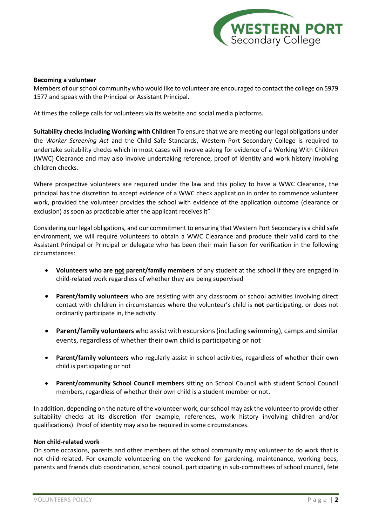

## **Becoming a volunteer**

Members of our school community who would like to volunteer are encouraged to contact the college on 5979 1577 and speak with the Principal or Assistant Principal.

At times the college calls for volunteers via its website and social media platforms.

**Suitability checks including Working with Children** To ensure that we are meeting our legal obligations under the *Worker Screening Act* and the Child Safe Standards, Western Port Secondary College is required to undertake suitability checks which in most cases will involve asking for evidence of a Working With Children (WWC) Clearance and may also involve undertaking reference, proof of identity and work history involving children checks.

Where prospective volunteers are required under the law and this policy to have a WWC Clearance, the principal has the discretion to accept evidence of a WWC check application in order to commence volunteer work, provided the volunteer provides the school with evidence of the application outcome (clearance or exclusion) as soon as practicable after the applicant receives it"

Considering our legal obligations, and our commitment to ensuring that Western Port Secondary is a child safe environment, we will require volunteers to obtain a WWC Clearance and produce their valid card to the Assistant Principal or Principal or delegate who has been their main liaison for verification in the following circumstances:

- **Volunteers who are not parent/family members** of any student at the school if they are engaged in child-related work regardless of whether they are being supervised
- **Parent/family volunteers** who are assisting with any classroom or school activities involving direct contact with children in circumstances where the volunteer's child is **not** participating, or does not ordinarily participate in, the activity
- **Parent/family volunteers** who assist with excursions (including swimming), camps and similar events, regardless of whether their own child is participating or not
- **Parent/family volunteers** who regularly assist in school activities, regardless of whether their own child is participating or not
- **Parent/community School Council members** sitting on School Council with student School Council members, regardless of whether their own child is a student member or not.

In addition, depending on the nature of the volunteer work, our school may ask the volunteer to provide other suitability checks at its discretion (for example, references, work history involving children and/or qualifications). Proof of identity may also be required in some circumstances.

#### **Non child-related work**

On some occasions, parents and other members of the school community may volunteer to do work that is not child-related. For example volunteering on the weekend for gardening, maintenance, working bees, parents and friends club coordination, school council, participating in sub-committees of school council, fete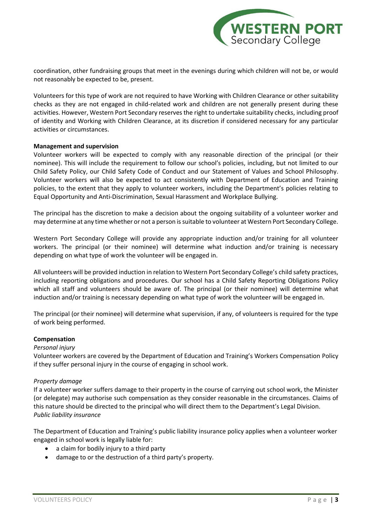![](_page_2_Picture_0.jpeg)

coordination, other fundraising groups that meet in the evenings during which children will not be, or would not reasonably be expected to be, present.

Volunteers for this type of work are not required to have Working with Children Clearance or other suitability checks as they are not engaged in child-related work and children are not generally present during these activities. However, Western Port Secondary reserves the right to undertake suitability checks, including proof of identity and Working with Children Clearance, at its discretion if considered necessary for any particular activities or circumstances.

## **Management and supervision**

Volunteer workers will be expected to comply with any reasonable direction of the principal (or their nominee). This will include the requirement to follow our school's policies, including, but not limited to our Child Safety Policy, our Child Safety Code of Conduct and our Statement of Values and School Philosophy. Volunteer workers will also be expected to act consistently with Department of Education and Training policies, to the extent that they apply to volunteer workers, including the Department's policies relating to Equal Opportunity and Anti-Discrimination, Sexual Harassment and Workplace Bullying.

The principal has the discretion to make a decision about the ongoing suitability of a volunteer worker and may determine at any time whether or not a person is suitable to volunteer at Western Port Secondary College.

Western Port Secondary College will provide any appropriate induction and/or training for all volunteer workers. The principal (or their nominee) will determine what induction and/or training is necessary depending on what type of work the volunteer will be engaged in.

All volunteers will be provided induction in relation to Western Port Secondary College's child safety practices, including reporting obligations and procedures. Our school has a Child Safety Reporting Obligations Policy which all staff and volunteers should be aware of. The principal (or their nominee) will determine what induction and/or training is necessary depending on what type of work the volunteer will be engaged in.

The principal (or their nominee) will determine what supervision, if any, of volunteers is required for the type of work being performed.

## **Compensation**

## *Personal injury*

Volunteer workers are covered by the Department of Education and Training's Workers Compensation Policy if they suffer personal injury in the course of engaging in school work.

## *Property damage*

If a volunteer worker suffers damage to their property in the course of carrying out school work, the Minister (or delegate) may authorise such compensation as they consider reasonable in the circumstances. Claims of this nature should be directed to the principal who will direct them to the Department's Legal Division. *Public liability insurance*

The Department of Education and Training's public liability insurance policy applies when a volunteer worker engaged in school work is legally liable for:

- a claim for bodily injury to a third party
- damage to or the destruction of a third party's property.